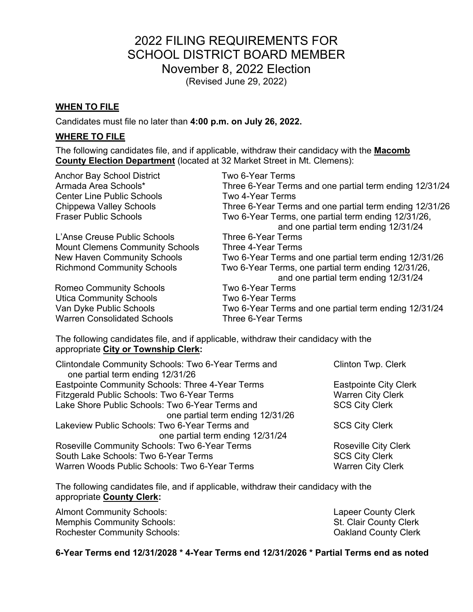# 2022 FILING REQUIREMENTS FOR SCHOOL DISTRICT BOARD MEMBER November 8, 2022 Election (Revised June 29, 2022)

# **WHEN TO FILE**

Candidates must file no later than **4:00 p.m. on July 26, 2022.** 

# **WHERE TO FILE**

The following candidates file, and if applicable, withdraw their candidacy with the **Macomb County Election Department** (located at 32 Market Street in Mt. Clemens):

| <b>Anchor Bay School District</b>      | Two 6-Year Terms                                                                            |
|----------------------------------------|---------------------------------------------------------------------------------------------|
| Armada Area Schools*                   | Three 6-Year Terms and one partial term ending 12/31/24                                     |
| <b>Center Line Public Schools</b>      | Two 4-Year Terms                                                                            |
| Chippewa Valley Schools                | Three 6-Year Terms and one partial term ending 12/31/26                                     |
| <b>Fraser Public Schools</b>           | Two 6-Year Terms, one partial term ending 12/31/26,<br>and one partial term ending 12/31/24 |
| L'Anse Creuse Public Schools           | Three 6-Year Terms                                                                          |
| <b>Mount Clemens Community Schools</b> | Three 4-Year Terms                                                                          |
| <b>New Haven Community Schools</b>     | Two 6-Year Terms and one partial term ending 12/31/26                                       |
| <b>Richmond Community Schools</b>      | Two 6-Year Terms, one partial term ending 12/31/26,<br>and one partial term ending 12/31/24 |
| <b>Romeo Community Schools</b>         | Two 6-Year Terms                                                                            |
| <b>Utica Community Schools</b>         | Two 6-Year Terms                                                                            |
| Van Dyke Public Schools                | Two 6-Year Terms and one partial term ending 12/31/24                                       |
| <b>Warren Consolidated Schools</b>     | Three 6-Year Terms                                                                          |

The following candidates file, and if applicable, withdraw their candidacy with the appropriate **City or Township Clerk:** 

| Clintondale Community Schools: Two 6-Year Terms and<br>one partial term ending 12/31/26 | <b>Clinton Twp. Clerk</b>    |
|-----------------------------------------------------------------------------------------|------------------------------|
| Eastpointe Community Schools: Three 4-Year Terms                                        | <b>Eastpointe City Clerk</b> |
| Fitzgerald Public Schools: Two 6-Year Terms                                             | <b>Warren City Clerk</b>     |
| Lake Shore Public Schools: Two 6-Year Terms and                                         | <b>SCS City Clerk</b>        |
| one partial term ending 12/31/26                                                        |                              |
| Lakeview Public Schools: Two 6-Year Terms and                                           | <b>SCS City Clerk</b>        |
| one partial term ending 12/31/24                                                        |                              |
| Roseville Community Schools: Two 6-Year Terms                                           | <b>Roseville City Clerk</b>  |
| South Lake Schools: Two 6-Year Terms                                                    | <b>SCS City Clerk</b>        |
| Warren Woods Public Schools: Two 6-Year Terms                                           | <b>Warren City Clerk</b>     |

The following candidates file, and if applicable, withdraw their candidacy with the appropriate **County Clerk:**

Almont Community Schools: Almont Community Schools: Memphis Community Schools: St. Clair County Clerk Rochester Community Schools: Community Schools: County Clerk

# **6-Year Terms end 12/31/2028 \* 4-Year Terms end 12/31/2026 \* Partial Terms end as noted**